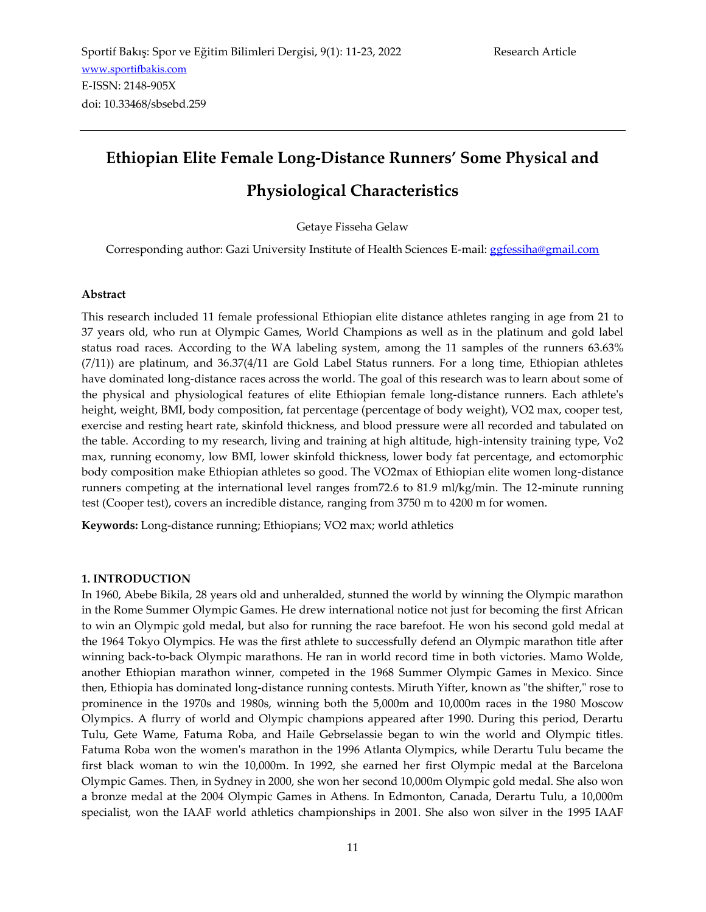# **Ethiopian Elite Female Long-Distance Runners' Some Physical and Physiological Characteristics**

#### Getaye Fisseha Gelaw

Corresponding author: Gazi University Institute of Health Sciences E-mail: [ggfessiha@gmail.com](mailto:ggfessiha@gmail.com)

#### **Abstract**

This research included 11 female professional Ethiopian elite distance athletes ranging in age from 21 to 37 years old, who run at Olympic Games, World Champions as well as in the platinum and gold label status road races. According to the WA labeling system, among the 11 samples of the runners 63.63% (7/11)) are platinum, and 36.37(4/11 are Gold Label Status runners. For a long time, Ethiopian athletes have dominated long-distance races across the world. The goal of this research was to learn about some of the physical and physiological features of elite Ethiopian female long-distance runners. Each athlete's height, weight, BMI, body composition, fat percentage (percentage of body weight), VO2 max, cooper test, exercise and resting heart rate, skinfold thickness, and blood pressure were all recorded and tabulated on the table. According to my research, living and training at high altitude, high-intensity training type, Vo2 max, running economy, low BMI, lower skinfold thickness, lower body fat percentage, and ectomorphic body composition make Ethiopian athletes so good. The VO2max of Ethiopian elite women long-distance runners competing at the international level ranges from72.6 to 81.9 ml/kg/min. The 12-minute running test (Cooper test), covers an incredible distance, ranging from 3750 m to 4200 m for women.

**Keywords:** Long-distance running; Ethiopians; VO2 max; world athletics

#### **1. INTRODUCTION**

In 1960, Abebe Bikila, 28 years old and unheralded, stunned the world by winning the Olympic marathon in the Rome Summer Olympic Games. He drew international notice not just for becoming the first African to win an Olympic gold medal, but also for running the race barefoot. He won his second gold medal at the 1964 Tokyo Olympics. He was the first athlete to successfully defend an Olympic marathon title after winning back-to-back Olympic marathons. He ran in world record time in both victories. Mamo Wolde, another Ethiopian marathon winner, competed in the 1968 Summer Olympic Games in Mexico. Since then, Ethiopia has dominated long-distance running contests. Miruth Yifter, known as "the shifter," rose to prominence in the 1970s and 1980s, winning both the 5,000m and 10,000m races in the 1980 Moscow Olympics. A flurry of world and Olympic champions appeared after 1990. During this period, Derartu Tulu, Gete Wame, Fatuma Roba, and Haile Gebrselassie began to win the world and Olympic titles. Fatuma Roba won the women's marathon in the 1996 Atlanta Olympics, while Derartu Tulu became the first black woman to win the 10,000m. In 1992, she earned her first Olympic medal at the Barcelona Olympic Games. Then, in Sydney in 2000, she won her second 10,000m Olympic gold medal. She also won a bronze medal at the 2004 Olympic Games in Athens. In Edmonton, Canada, Derartu Tulu, a 10,000m specialist, won the IAAF world athletics championships in 2001. She also won silver in the 1995 IAAF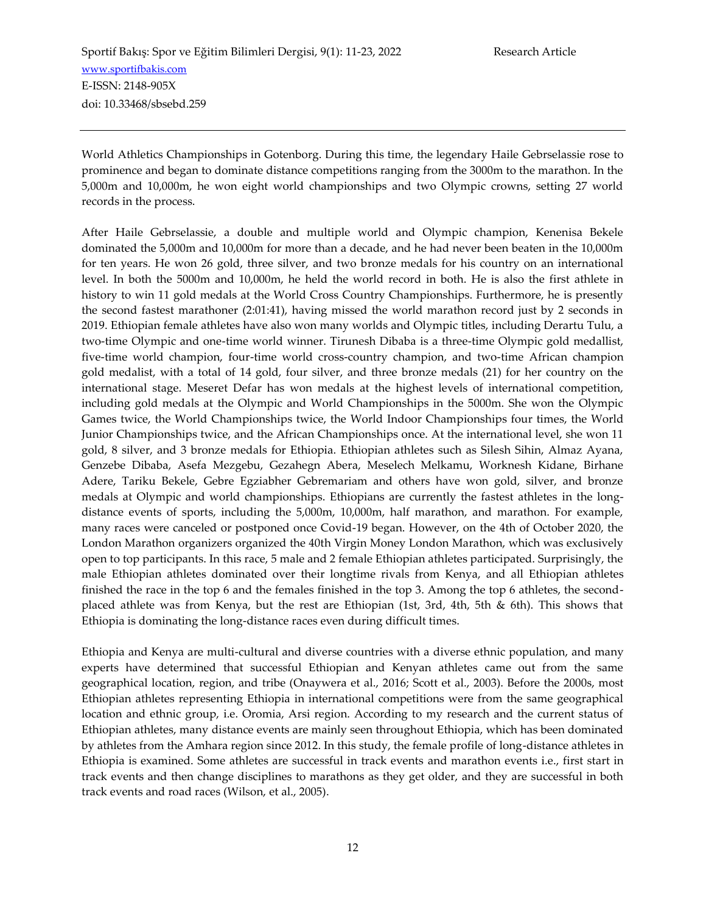World Athletics Championships in Gotenborg. During this time, the legendary Haile Gebrselassie rose to prominence and began to dominate distance competitions ranging from the 3000m to the marathon. In the 5,000m and 10,000m, he won eight world championships and two Olympic crowns, setting 27 world records in the process.

After Haile Gebrselassie, a double and multiple world and Olympic champion, Kenenisa Bekele dominated the 5,000m and 10,000m for more than a decade, and he had never been beaten in the 10,000m for ten years. He won 26 gold, three silver, and two bronze medals for his country on an international level. In both the 5000m and 10,000m, he held the world record in both. He is also the first athlete in history to win 11 gold medals at the World Cross Country Championships. Furthermore, he is presently the second fastest marathoner (2:01:41), having missed the world marathon record just by 2 seconds in 2019. Ethiopian female athletes have also won many worlds and Olympic titles, including Derartu Tulu, a two-time Olympic and one-time world winner. Tirunesh Dibaba is a three-time Olympic gold medallist, five-time world champion, four-time world cross-country champion, and two-time African champion gold medalist, with a total of 14 gold, four silver, and three bronze medals (21) for her country on the international stage. Meseret Defar has won medals at the highest levels of international competition, including gold medals at the Olympic and World Championships in the 5000m. She won the Olympic Games twice, the World Championships twice, the World Indoor Championships four times, the World Junior Championships twice, and the African Championships once. At the international level, she won 11 gold, 8 silver, and 3 bronze medals for Ethiopia. Ethiopian athletes such as Silesh Sihin, Almaz Ayana, Genzebe Dibaba, Asefa Mezgebu, Gezahegn Abera, Meselech Melkamu, Worknesh Kidane, Birhane Adere, Tariku Bekele, Gebre Egziabher Gebremariam and others have won gold, silver, and bronze medals at Olympic and world championships. Ethiopians are currently the fastest athletes in the longdistance events of sports, including the 5,000m, 10,000m, half marathon, and marathon. For example, many races were canceled or postponed once Covid-19 began. However, on the 4th of October 2020, the London Marathon organizers organized the 40th Virgin Money London Marathon, which was exclusively open to top participants. In this race, 5 male and 2 female Ethiopian athletes participated. Surprisingly, the male Ethiopian athletes dominated over their longtime rivals from Kenya, and all Ethiopian athletes finished the race in the top 6 and the females finished in the top 3. Among the top 6 athletes, the secondplaced athlete was from Kenya, but the rest are Ethiopian (1st, 3rd, 4th, 5th & 6th). This shows that Ethiopia is dominating the long-distance races even during difficult times.

Ethiopia and Kenya are multi-cultural and diverse countries with a diverse ethnic population, and many experts have determined that successful Ethiopian and Kenyan athletes came out from the same geographical location, region, and tribe (Onaywera et al., 2016; Scott et al., 2003). Before the 2000s, most Ethiopian athletes representing Ethiopia in international competitions were from the same geographical location and ethnic group, i.e. Oromia, Arsi region. According to my research and the current status of Ethiopian athletes, many distance events are mainly seen throughout Ethiopia, which has been dominated by athletes from the Amhara region since 2012. In this study, the female profile of long-distance athletes in Ethiopia is examined. Some athletes are successful in track events and marathon events i.e., first start in track events and then change disciplines to marathons as they get older, and they are successful in both track events and road races (Wilson, et al., 2005).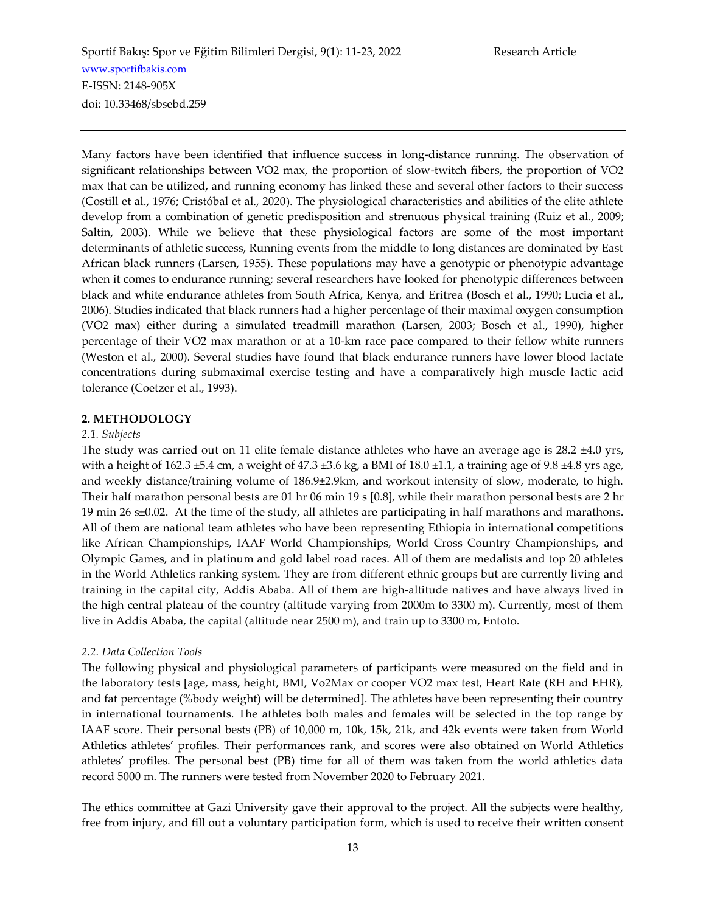Many factors have been identified that influence success in long-distance running. The observation of significant relationships between VO2 max, the proportion of slow-twitch fibers, the proportion of VO2 max that can be utilized, and running economy has linked these and several other factors to their success (Costill et al., 1976; Cristóbal et al., 2020). The physiological characteristics and abilities of the elite athlete develop from a combination of genetic predisposition and strenuous physical training (Ruiz et al., 2009; Saltin, 2003). While we believe that these physiological factors are some of the most important determinants of athletic success, Running events from the middle to long distances are dominated by East African black runners (Larsen, 1955). These populations may have a genotypic or phenotypic advantage when it comes to endurance running; several researchers have looked for phenotypic differences between black and white endurance athletes from South Africa, Kenya, and Eritrea (Bosch et al., 1990; Lucia et al., 2006). Studies indicated that black runners had a higher percentage of their maximal oxygen consumption (VO2 max) either during a simulated treadmill marathon (Larsen, 2003; Bosch et al., 1990), higher percentage of their VO2 max marathon or at a 10-km race pace compared to their fellow white runners (Weston et al., 2000). Several studies have found that black endurance runners have lower blood lactate concentrations during submaximal exercise testing and have a comparatively high muscle lactic acid tolerance (Coetzer et al., 1993).

## **2. METHODOLOGY**

## *2.1. Subjects*

The study was carried out on 11 elite female distance athletes who have an average age is 28.2 ±4.0 yrs, with a height of 162.3  $\pm$ 5.4 cm, a weight of 47.3  $\pm$ 3.6 kg, a BMI of 18.0  $\pm$ 1.1, a training age of 9.8  $\pm$ 4.8 yrs age, and weekly distance/training volume of 186.9±2.9km, and workout intensity of slow, moderate, to high. Their half marathon personal bests are 01 hr 06 min 19 s [0.8], while their marathon personal bests are 2 hr 19 min 26 s±0.02. At the time of the study, all athletes are participating in half marathons and marathons. All of them are national team athletes who have been representing Ethiopia in international competitions like African Championships, IAAF World Championships, World Cross Country Championships, and Olympic Games, and in platinum and gold label road races. All of them are medalists and top 20 athletes in the World Athletics ranking system. They are from different ethnic groups but are currently living and training in the capital city, Addis Ababa. All of them are high-altitude natives and have always lived in the high central plateau of the country (altitude varying from 2000m to 3300 m). Currently, most of them live in Addis Ababa, the capital (altitude near 2500 m), and train up to 3300 m, Entoto.

#### *2.2. Data Collection Tools*

The following physical and physiological parameters of participants were measured on the field and in the laboratory tests [age, mass, height, BMI, Vo2Max or cooper VO2 max test, Heart Rate (RH and EHR), and fat percentage (%body weight) will be determined]. The athletes have been representing their country in international tournaments. The athletes both males and females will be selected in the top range by IAAF score. Their personal bests (PB) of 10,000 m, 10k, 15k, 21k, and 42k events were taken from World Athletics athletes' profiles. Their performances rank, and scores were also obtained on World Athletics athletes' profiles. The personal best (PB) time for all of them was taken from the world athletics data record 5000 m. The runners were tested from November 2020 to February 2021.

The ethics committee at Gazi University gave their approval to the project. All the subjects were healthy, free from injury, and fill out a voluntary participation form, which is used to receive their written consent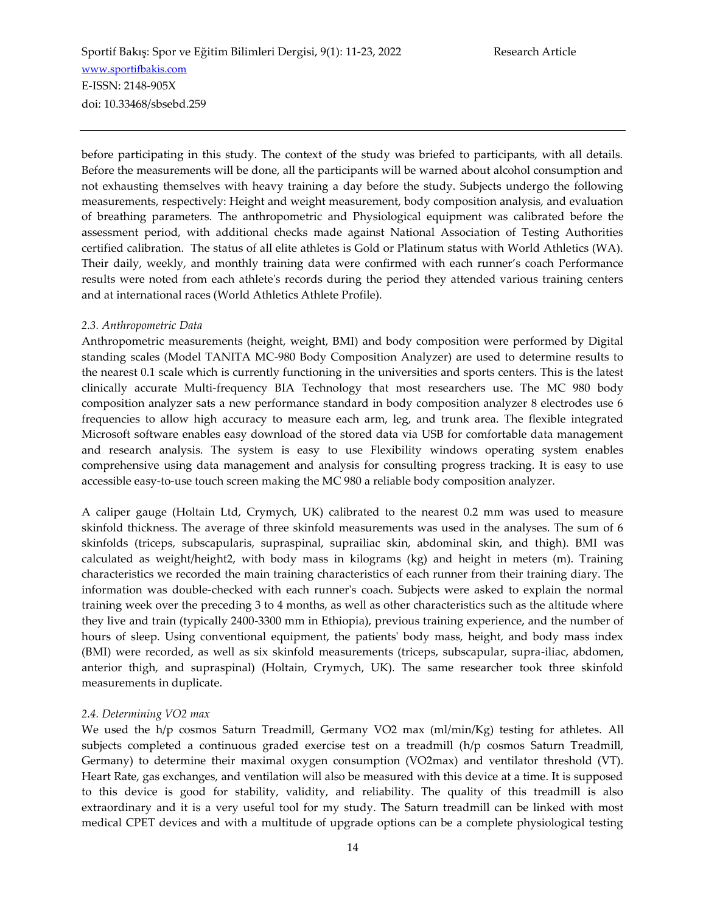before participating in this study. The context of the study was briefed to participants, with all details. Before the measurements will be done, all the participants will be warned about alcohol consumption and not exhausting themselves with heavy training a day before the study. Subjects undergo the following measurements, respectively: Height and weight measurement, body composition analysis, and evaluation of breathing parameters. The anthropometric and Physiological equipment was calibrated before the assessment period, with additional checks made against National Association of Testing Authorities certified calibration. The status of all elite athletes is Gold or Platinum status with World Athletics (WA). Their daily, weekly, and monthly training data were confirmed with each runner's coach Performance results were noted from each athlete's records during the period they attended various training centers and at international races (World Athletics Athlete Profile).

## *2.3. Anthropometric Data*

Anthropometric measurements (height, weight, BMI) and body composition were performed by Digital standing scales (Model TANITA MC-980 Body Composition Analyzer) are used to determine results to the nearest 0.1 scale which is currently functioning in the universities and sports centers. This is the latest clinically accurate Multi-frequency BIA Technology that most researchers use. The MC 980 body composition analyzer sats a new performance standard in body composition analyzer 8 electrodes use 6 frequencies to allow high accuracy to measure each arm, leg, and trunk area. The flexible integrated Microsoft software enables easy download of the stored data via USB for comfortable data management and research analysis. The system is easy to use Flexibility windows operating system enables comprehensive using data management and analysis for consulting progress tracking. It is easy to use accessible easy-to-use touch screen making the MC 980 a reliable body composition analyzer.

A caliper gauge (Holtain Ltd, Crymych, UK) calibrated to the nearest 0.2 mm was used to measure skinfold thickness. The average of three skinfold measurements was used in the analyses. The sum of 6 skinfolds (triceps, subscapularis, supraspinal, suprailiac skin, abdominal skin, and thigh). BMI was calculated as weight/height2, with body mass in kilograms (kg) and height in meters (m). Training characteristics we recorded the main training characteristics of each runner from their training diary. The information was double-checked with each runner's coach. Subjects were asked to explain the normal training week over the preceding 3 to 4 months, as well as other characteristics such as the altitude where they live and train (typically 2400-3300 mm in Ethiopia), previous training experience, and the number of hours of sleep. Using conventional equipment, the patients' body mass, height, and body mass index (BMI) were recorded, as well as six skinfold measurements (triceps, subscapular, supra-iliac, abdomen, anterior thigh, and supraspinal) (Holtain, Crymych, UK). The same researcher took three skinfold measurements in duplicate.

#### *2.4. Determining VO2 max*

We used the h/p cosmos Saturn Treadmill, Germany VO2 max (ml/min/Kg) testing for athletes. All subjects completed a continuous graded exercise test on a treadmill (h/p cosmos Saturn Treadmill, Germany) to determine their maximal oxygen consumption (VO2max) and ventilator threshold (VT). Heart Rate, gas exchanges, and ventilation will also be measured with this device at a time. It is supposed to this device is good for stability, validity, and reliability. The quality of this treadmill is also extraordinary and it is a very useful tool for my study. The Saturn treadmill can be linked with most medical CPET devices and with a multitude of upgrade options can be a complete physiological testing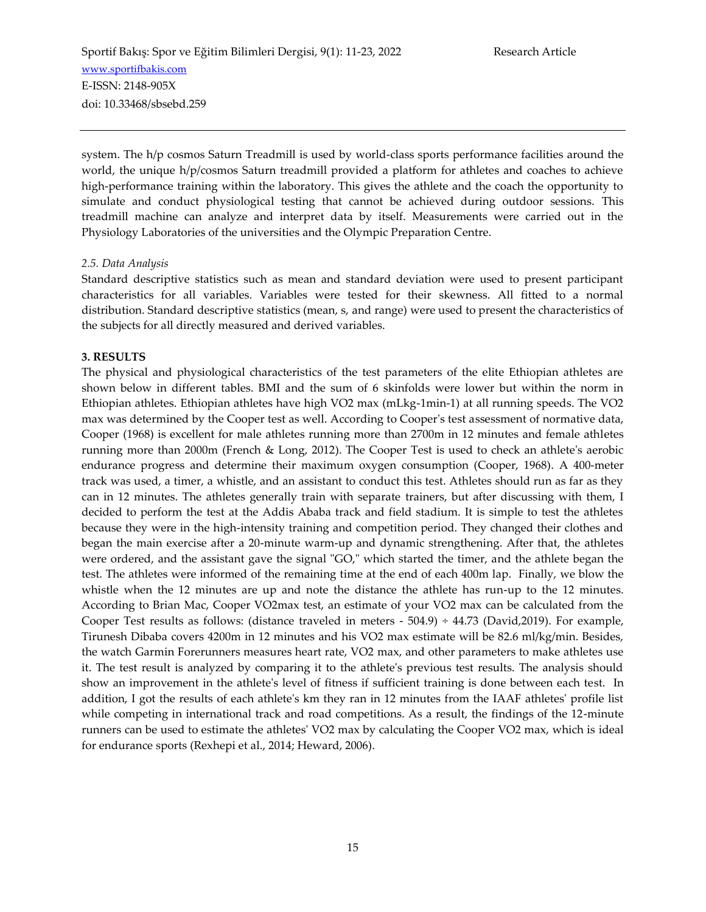system. The h/p cosmos Saturn Treadmill is used by world-class sports performance facilities around the world, the unique h/p/cosmos Saturn treadmill provided a platform for athletes and coaches to achieve high-performance training within the laboratory. This gives the athlete and the coach the opportunity to simulate and conduct physiological testing that cannot be achieved during outdoor sessions. This treadmill machine can analyze and interpret data by itself. Measurements were carried out in the Physiology Laboratories of the universities and the Olympic Preparation Centre.

## *2.5. Data Analysis*

Standard descriptive statistics such as mean and standard deviation were used to present participant characteristics for all variables. Variables were tested for their skewness. All fitted to a normal distribution. Standard descriptive statistics (mean, s, and range) were used to present the characteristics of the subjects for all directly measured and derived variables.

## **3. RESULTS**

The physical and physiological characteristics of the test parameters of the elite Ethiopian athletes are shown below in different tables. BMI and the sum of 6 skinfolds were lower but within the norm in Ethiopian athletes. Ethiopian athletes have high VO2 max (mLkg-1min-1) at all running speeds. The VO2 max was determined by the Cooper test as well. According to Cooper's test assessment of normative data, Cooper (1968) is excellent for male athletes running more than 2700m in 12 minutes and female athletes running more than 2000m (French & Long, 2012). The Cooper Test is used to check an athlete's aerobic endurance progress and determine their maximum oxygen consumption (Cooper, 1968). A 400-meter track was used, a timer, a whistle, and an assistant to conduct this test. Athletes should run as far as they can in 12 minutes. The athletes generally train with separate trainers, but after discussing with them, I decided to perform the test at the Addis Ababa track and field stadium. It is simple to test the athletes because they were in the high-intensity training and competition period. They changed their clothes and began the main exercise after a 20-minute warm-up and dynamic strengthening. After that, the athletes were ordered, and the assistant gave the signal "GO," which started the timer, and the athlete began the test. The athletes were informed of the remaining time at the end of each 400m lap. Finally, we blow the whistle when the 12 minutes are up and note the distance the athlete has run-up to the 12 minutes. According to Brian Mac, Cooper VO2max test, an estimate of your VO2 max can be calculated from the Cooper Test results as follows: (distance traveled in meters -  $504.9$ )  $\div$  44.73 (David,2019). For example, Tirunesh Dibaba covers 4200m in 12 minutes and his VO2 max estimate will be 82.6 ml/kg/min. Besides, the watch Garmin Forerunners measures heart rate, VO2 max, and other parameters to make athletes use it. The test result is analyzed by comparing it to the athlete's previous test results. The analysis should show an improvement in the athlete's level of fitness if sufficient training is done between each test. In addition, I got the results of each athlete's km they ran in 12 minutes from the IAAF athletes' profile list while competing in international track and road competitions. As a result, the findings of the 12-minute runners can be used to estimate the athletes' VO2 max by calculating the Cooper VO2 max, which is ideal for endurance sports (Rexhepi et al., 2014; Heward, 2006).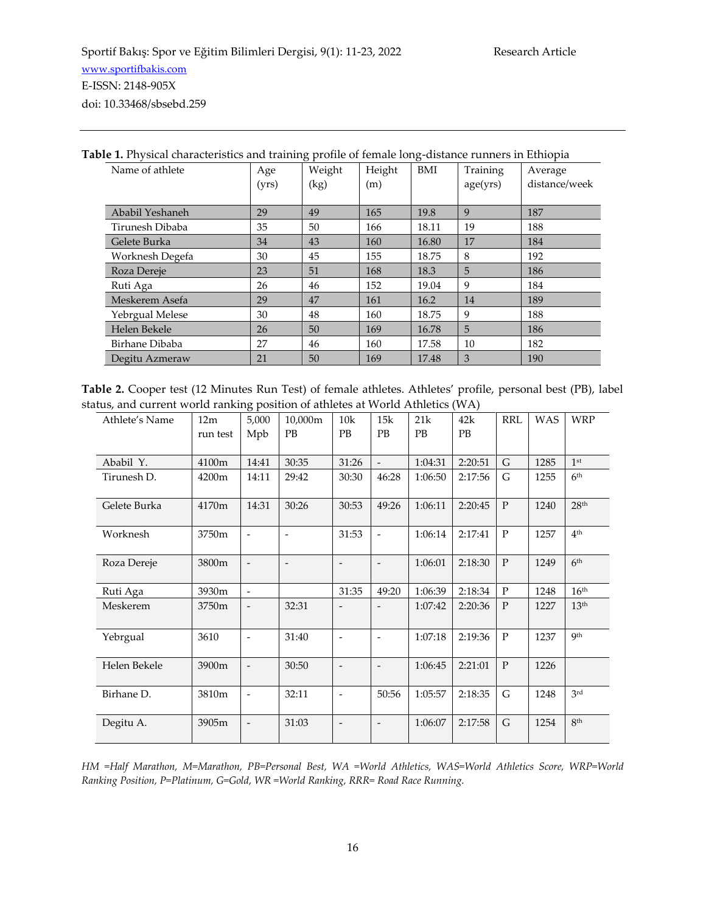| <b>Table 1.</b> Physical characteristics and training profile of female long-distance runners in Ethiopia |       |        |        |       |          |               |  |  |
|-----------------------------------------------------------------------------------------------------------|-------|--------|--------|-------|----------|---------------|--|--|
| Name of athlete                                                                                           | Age   | Weight | Height | BMI   | Training | Average       |  |  |
|                                                                                                           | (yrs) | (kg)   | (m)    |       | age(yrs) | distance/week |  |  |
|                                                                                                           |       |        |        |       |          |               |  |  |
| Ababil Yeshaneh                                                                                           | 29    | 49     | 165    | 19.8  | 9        | 187           |  |  |
| Tirunesh Dibaba                                                                                           | 35    | 50     | 166    | 18.11 | 19       | 188           |  |  |
| Gelete Burka                                                                                              | 34    | 43     | 160    | 16.80 | 17       | 184           |  |  |
| Worknesh Degefa                                                                                           | 30    | 45     | 155    | 18.75 | 8        | 192           |  |  |
| Roza Dereje                                                                                               | 23    | 51     | 168    | 18.3  | 5        | 186           |  |  |
| Ruti Aga                                                                                                  | 26    | 46     | 152    | 19.04 | 9        | 184           |  |  |
| Meskerem Asefa                                                                                            | 29    | 47     | 161    | 16.2  | 14       | 189           |  |  |
| Yebrgual Melese                                                                                           | 30    | 48     | 160    | 18.75 | 9        | 188           |  |  |
| Helen Bekele                                                                                              | 26    | 50     | 169    | 16.78 | 5        | 186           |  |  |
| Birhane Dibaba                                                                                            | 27    | 46     | 160    | 17.58 | 10       | 182           |  |  |
| Degitu Azmeraw                                                                                            | 21    | 50     | 169    | 17.48 | 3        | 190           |  |  |

**Table 2.** Cooper test (12 Minutes Run Test) of female athletes. Athletes' profile, personal best (PB), label status, and current world ranking position of athletes at World Athletics (WA)

| Athlete's Name | 12m<br>run test | ОГ<br>5,000<br>Mpb       | 10,000m<br><b>PB</b> | 10k<br>PB                | 15k<br>PB                | 21k<br>PB | 42k<br>PB | <b>RRL</b>   | <b>WAS</b> | <b>WRP</b>       |
|----------------|-----------------|--------------------------|----------------------|--------------------------|--------------------------|-----------|-----------|--------------|------------|------------------|
| Ababil Y.      | 4100m           | 14:41                    | 30:35                | 31:26                    | $\mathcal{L}$            | 1:04:31   | 2:20:51   | G            | 1285       | 1 <sup>st</sup>  |
| Tirunesh D.    | 4200m           | 14:11                    | 29:42                | 30:30                    | 46:28                    | 1:06:50   | 2:17:56   | G            | 1255       | 6 <sup>th</sup>  |
| Gelete Burka   | 4170m           | 14:31                    | 30:26                | 30:53                    | 49:26                    | 1:06:11   | 2:20:45   | ${\bf P}$    | 1240       | 28 <sup>th</sup> |
| Worknesh       | 3750m           | $\overline{\phantom{a}}$ |                      | 31:53                    | $\overline{\phantom{a}}$ | 1:06:14   | 2:17:41   | $\mathbf{P}$ | 1257       | 4 <sup>th</sup>  |
| Roza Dereje    | 3800m           | $\overline{\phantom{m}}$ | $\overline{a}$       | $\overline{\phantom{a}}$ | $\overline{\phantom{a}}$ | 1:06:01   | 2:18:30   | $\mathbf{P}$ | 1249       | 6 <sup>th</sup>  |
| Ruti Aga       | 3930m           | $\overline{\phantom{0}}$ |                      | 31:35                    | 49:20                    | 1:06:39   | 2:18:34   | $\mathbf{P}$ | 1248       | 16 <sup>th</sup> |
| Meskerem       | 3750m           | $\overline{\phantom{m}}$ | 32:31                |                          |                          | 1:07:42   | 2:20:36   | $\mathbf{P}$ | 1227       | 13 <sup>th</sup> |
| Yebrgual       | 3610            | $\overline{\phantom{a}}$ | 31:40                | $\overline{\phantom{a}}$ |                          | 1:07:18   | 2:19:36   | $\mathbf{P}$ | 1237       | <b>Qth</b>       |
| Helen Bekele   | 3900m           | $\overline{\phantom{m}}$ | 30:50                | $\overline{\phantom{a}}$ | $\overline{\phantom{a}}$ | 1:06:45   | 2:21:01   | $\mathbf{P}$ | 1226       |                  |
| Birhane D.     | 3810m           | $\overline{\phantom{a}}$ | 32:11                | $\overline{\phantom{a}}$ | 50:56                    | 1:05:57   | 2:18:35   | G            | 1248       | 3rd              |
| Degitu A.      | 3905m           | $\overline{\phantom{m}}$ | 31:03                | $\overline{\phantom{a}}$ |                          | 1:06:07   | 2:17:58   | G            | 1254       | 8 <sup>th</sup>  |

*HM =Half Marathon, M=Marathon, PB=Personal Best, WA =World Athletics, WAS=World Athletics Score, WRP=World Ranking Position, P=Platinum, G=Gold, WR =World Ranking, RRR= Road Race Running.*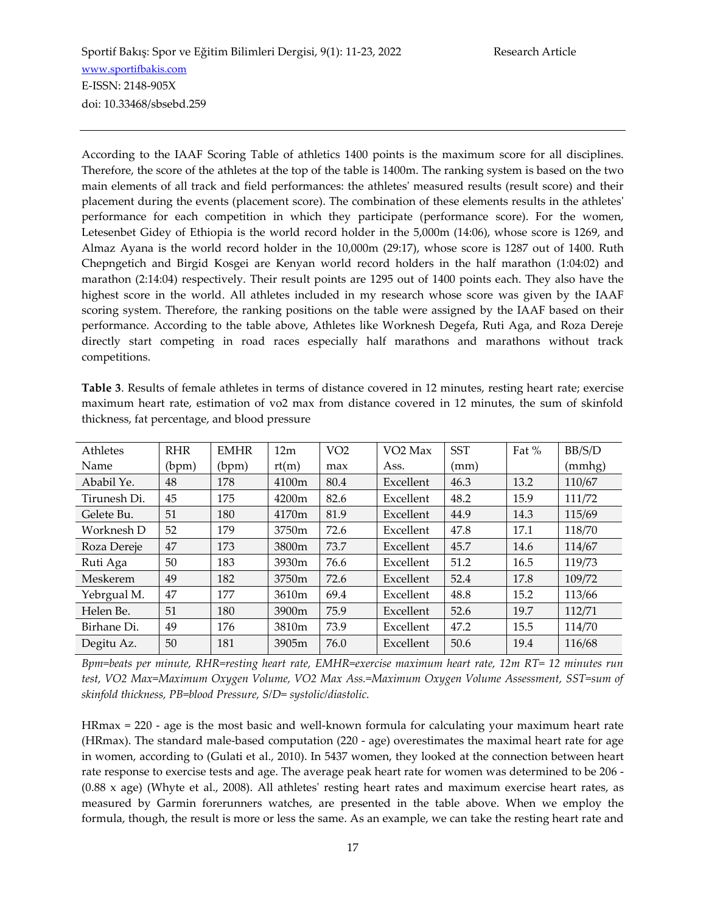According to the IAAF Scoring Table of athletics 1400 points is the maximum score for all disciplines. Therefore, the score of the athletes at the top of the table is 1400m. The ranking system is based on the two main elements of all track and field performances: the athletes' measured results (result score) and their placement during the events (placement score). The combination of these elements results in the athletes' performance for each competition in which they participate (performance score). For the women, Letesenbet Gidey of Ethiopia is the world record holder in the 5,000m (14:06), whose score is 1269, and Almaz Ayana is the world record holder in the 10,000m (29:17), whose score is 1287 out of 1400. Ruth Chepngetich and Birgid Kosgei are Kenyan world record holders in the half marathon (1:04:02) and marathon (2:14:04) respectively. Their result points are 1295 out of 1400 points each. They also have the highest score in the world. All athletes included in my research whose score was given by the IAAF scoring system. Therefore, the ranking positions on the table were assigned by the IAAF based on their performance. According to the table above, Athletes like Worknesh Degefa, Ruti Aga, and Roza Dereje directly start competing in road races especially half marathons and marathons without track competitions.

**Table 3**. Results of female athletes in terms of distance covered in 12 minutes, resting heart rate; exercise maximum heart rate, estimation of vo2 max from distance covered in 12 minutes, the sum of skinfold thickness, fat percentage, and blood pressure

| Athletes     | <b>RHR</b> | <b>EMHR</b> | 12m   | VO <sub>2</sub> | VO <sub>2</sub> Max | <b>SST</b> | Fat % | BB/S/D |
|--------------|------------|-------------|-------|-----------------|---------------------|------------|-------|--------|
| Name         | (bpm)      | (bpm)       | rt(m) | max             | Ass.                | (mm)       |       | (mmhg) |
| Ababil Ye.   | 48         | 178         | 4100m | 80.4            | Excellent           | 46.3       | 13.2  | 110/67 |
| Tirunesh Di. | 45         | 175         | 4200m | 82.6            | Excellent           | 48.2       | 15.9  | 111/72 |
| Gelete Bu.   | 51         | 180         | 4170m | 81.9            | Excellent           | 44.9       | 14.3  | 115/69 |
| Worknesh D   | 52         | 179         | 3750m | 72.6            | Excellent           | 47.8       | 17.1  | 118/70 |
| Roza Dereje  | 47         | 173         | 3800m | 73.7            | Excellent           | 45.7       | 14.6  | 114/67 |
| Ruti Aga     | 50         | 183         | 3930m | 76.6            | Excellent           | 51.2       | 16.5  | 119/73 |
| Meskerem     | 49         | 182         | 3750m | 72.6            | Excellent           | 52.4       | 17.8  | 109/72 |
| Yebrgual M.  | 47         | 177         | 3610m | 69.4            | Excellent           | 48.8       | 15.2  | 113/66 |
| Helen Be.    | 51         | 180         | 3900m | 75.9            | Excellent           | 52.6       | 19.7  | 112/71 |
| Birhane Di.  | 49         | 176         | 3810m | 73.9            | Excellent           | 47.2       | 15.5  | 114/70 |
| Degitu Az.   | 50         | 181         | 3905m | 76.0            | Excellent           | 50.6       | 19.4  | 116/68 |

*Bpm=beats per minute, RHR=resting heart rate, EMHR=exercise maximum heart rate, 12m RT= 12 minutes run test, VO2 Max=Maximum Oxygen Volume, VO2 Max Ass.=Maximum Oxygen Volume Assessment, SST=sum of skinfold thickness, PB=blood Pressure, S/D= systolic/diastolic.*

HRmax = 220 - age is the most basic and well-known formula for calculating your maximum heart rate (HRmax). The standard male-based computation (220 - age) overestimates the maximal heart rate for age in women, according to (Gulati et al., 2010). In 5437 women, they looked at the connection between heart rate response to exercise tests and age. The average peak heart rate for women was determined to be 206 - (0.88 x age) (Whyte et al., 2008). All athletes' resting heart rates and maximum exercise heart rates, as measured by Garmin forerunners watches, are presented in the table above. When we employ the formula, though, the result is more or less the same. As an example, we can take the resting heart rate and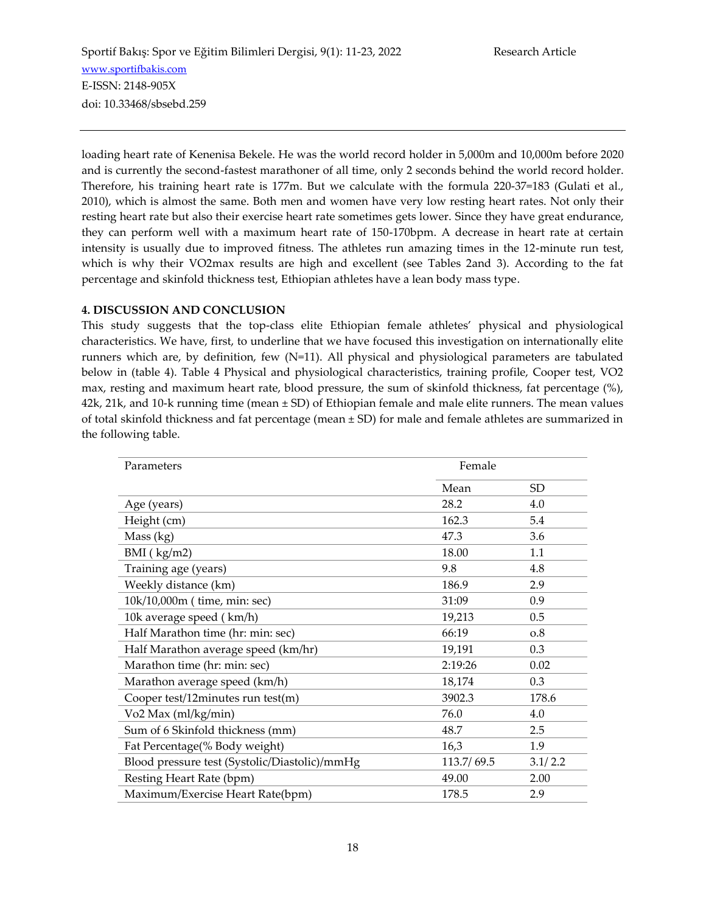loading heart rate of Kenenisa Bekele. He was the world record holder in 5,000m and 10,000m before 2020 and is currently the second-fastest marathoner of all time, only 2 seconds behind the world record holder. Therefore, his training heart rate is 177m. But we calculate with the formula 220-37=183 (Gulati et al., 2010), which is almost the same. Both men and women have very low resting heart rates. Not only their resting heart rate but also their exercise heart rate sometimes gets lower. Since they have great endurance, they can perform well with a maximum heart rate of 150-170bpm. A decrease in heart rate at certain intensity is usually due to improved fitness. The athletes run amazing times in the 12-minute run test, which is why their VO2max results are high and excellent (see Tables 2and 3). According to the fat percentage and skinfold thickness test, Ethiopian athletes have a lean body mass type.

## **4. DISCUSSION AND CONCLUSION**

This study suggests that the top-class elite Ethiopian female athletes' physical and physiological characteristics. We have, first, to underline that we have focused this investigation on internationally elite runners which are, by definition, few (N=11). All physical and physiological parameters are tabulated below in (table 4). Table 4 Physical and physiological characteristics, training profile, Cooper test, VO2 max, resting and maximum heart rate, blood pressure, the sum of skinfold thickness, fat percentage (%), 42k, 21k, and 10-k running time (mean ± SD) of Ethiopian female and male elite runners. The mean values of total skinfold thickness and fat percentage (mean ± SD) for male and female athletes are summarized in the following table.

| Parameters                                    | Female     |         |
|-----------------------------------------------|------------|---------|
|                                               | Mean       | SD.     |
| Age (years)                                   | 28.2       | 4.0     |
| Height (cm)                                   | 162.3      | 5.4     |
| Mass (kg)                                     | 47.3       | 3.6     |
| BMI (kg/m2)                                   | 18.00      | 1.1     |
| Training age (years)                          | 9.8        | 4.8     |
| Weekly distance (km)                          | 186.9      | 2.9     |
| 10k/10,000m (time, min: sec)                  | 31:09      | 0.9     |
| 10k average speed (km/h)                      | 19,213     | 0.5     |
| Half Marathon time (hr: min: sec)             | 66:19      | 0.8     |
| Half Marathon average speed (km/hr)           | 19,191     | 0.3     |
| Marathon time (hr: min: sec)                  | 2:19:26    | 0.02    |
| Marathon average speed (km/h)                 | 18,174     | 0.3     |
| Cooper test/12minutes run test(m)             | 3902.3     | 178.6   |
| Vo2 Max (ml/kg/min)                           | 76.0       | 4.0     |
| Sum of 6 Skinfold thickness (mm)              | 48.7       | 2.5     |
| Fat Percentage(% Body weight)                 | 16,3       | 1.9     |
| Blood pressure test (Systolic/Diastolic)/mmHg | 113.7/69.5 | 3.1/2.2 |
| Resting Heart Rate (bpm)                      | 49.00      | 2.00    |
| Maximum/Exercise Heart Rate(bpm)              | 178.5      | 2.9     |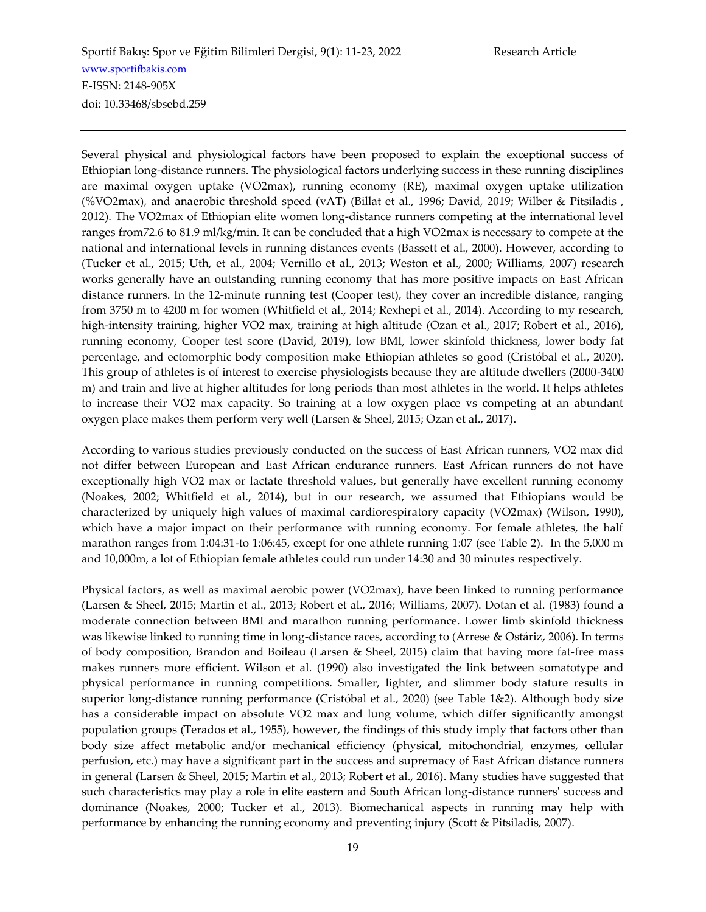Several physical and physiological factors have been proposed to explain the exceptional success of Ethiopian long-distance runners. The physiological factors underlying success in these running disciplines are maximal oxygen uptake (VO2max), running economy (RE), maximal oxygen uptake utilization (%VO2max), and anaerobic threshold speed (vAT) (Billat et al., 1996; David, 2019; Wilber & Pitsiladis , 2012). The VO2max of Ethiopian elite women long-distance runners competing at the international level ranges from72.6 to 81.9 ml/kg/min. It can be concluded that a high VO2max is necessary to compete at the national and international levels in running distances events (Bassett et al., 2000). However, according to (Tucker et al., 2015; Uth, et al., 2004; Vernillo et al., 2013; Weston et al., 2000; Williams, 2007) research works generally have an outstanding running economy that has more positive impacts on East African distance runners. In the 12-minute running test (Cooper test), they cover an incredible distance, ranging from 3750 m to 4200 m for women (Whitfield et al., 2014; Rexhepi et al., 2014). According to my research, high-intensity training, higher VO2 max, training at high altitude (Ozan et al., 2017; Robert et al., 2016), running economy, Cooper test score (David, 2019), low BMI, lower skinfold thickness, lower body fat percentage, and ectomorphic body composition make Ethiopian athletes so good (Cristóbal et al., 2020). This group of athletes is of interest to exercise physiologists because they are altitude dwellers (2000-3400 m) and train and live at higher altitudes for long periods than most athletes in the world. It helps athletes to increase their VO2 max capacity. So training at a low oxygen place vs competing at an abundant oxygen place makes them perform very well (Larsen & Sheel, 2015; Ozan et al., 2017).

According to various studies previously conducted on the success of East African runners, VO2 max did not differ between European and East African endurance runners. East African runners do not have exceptionally high VO2 max or lactate threshold values, but generally have excellent running economy (Noakes, 2002; Whitfield et al., 2014), but in our research, we assumed that Ethiopians would be characterized by uniquely high values of maximal cardiorespiratory capacity (VO2max) (Wilson, 1990), which have a major impact on their performance with running economy. For female athletes, the half marathon ranges from 1:04:31-to 1:06:45, except for one athlete running 1:07 (see Table 2). In the 5,000 m and 10,000m, a lot of Ethiopian female athletes could run under 14:30 and 30 minutes respectively.

Physical factors, as well as maximal aerobic power (VO2max), have been linked to running performance (Larsen & Sheel, 2015; Martin et al., 2013; Robert et al., 2016; Williams, 2007). Dotan et al. (1983) found a moderate connection between BMI and marathon running performance. Lower limb skinfold thickness was likewise linked to running time in long-distance races, according to (Arrese & Ostáriz, 2006). In terms of body composition, Brandon and Boileau (Larsen & Sheel, 2015) claim that having more fat-free mass makes runners more efficient. Wilson et al. (1990) also investigated the link between somatotype and physical performance in running competitions. Smaller, lighter, and slimmer body stature results in superior long-distance running performance (Cristóbal et al., 2020) (see Table 1&2). Although body size has a considerable impact on absolute VO2 max and lung volume, which differ significantly amongst population groups (Terados et al., 1955), however, the findings of this study imply that factors other than body size affect metabolic and/or mechanical efficiency (physical, mitochondrial, enzymes, cellular perfusion, etc.) may have a significant part in the success and supremacy of East African distance runners in general (Larsen & Sheel, 2015; Martin et al., 2013; Robert et al., 2016). Many studies have suggested that such characteristics may play a role in elite eastern and South African long-distance runners' success and dominance (Noakes, 2000; Tucker et al., 2013). Biomechanical aspects in running may help with performance by enhancing the running economy and preventing injury (Scott & Pitsiladis, 2007).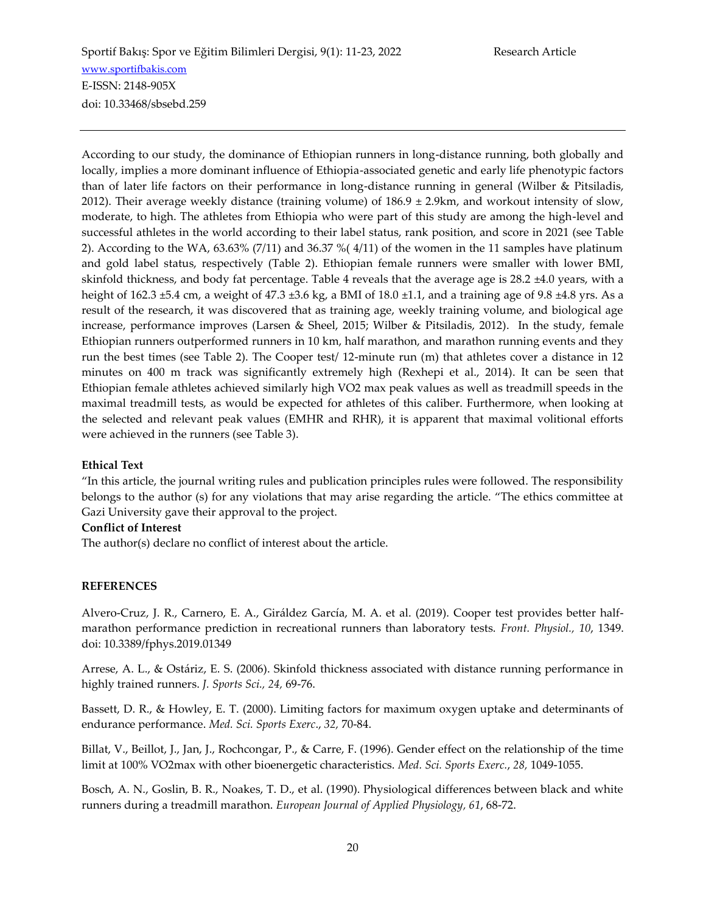According to our study, the dominance of Ethiopian runners in long-distance running, both globally and locally, implies a more dominant influence of Ethiopia-associated genetic and early life phenotypic factors than of later life factors on their performance in long-distance running in general (Wilber & Pitsiladis, 2012). Their average weekly distance (training volume) of  $186.9 \pm 2.9$ km, and workout intensity of slow, moderate, to high. The athletes from Ethiopia who were part of this study are among the high-level and successful athletes in the world according to their label status, rank position, and score in 2021 (see Table 2). According to the WA, 63.63% (7/11) and 36.37 %( 4/11) of the women in the 11 samples have platinum and gold label status, respectively (Table 2). Ethiopian female runners were smaller with lower BMI, skinfold thickness, and body fat percentage. Table 4 reveals that the average age is 28.2 ±4.0 years, with a height of 162.3 ±5.4 cm, a weight of 47.3 ±3.6 kg, a BMI of 18.0 ±1.1, and a training age of 9.8 ±4.8 yrs. As a result of the research, it was discovered that as training age, weekly training volume, and biological age increase, performance improves (Larsen & Sheel, 2015; Wilber & Pitsiladis, 2012). In the study, female Ethiopian runners outperformed runners in 10 km, half marathon, and marathon running events and they run the best times (see Table 2). The Cooper test/ 12-minute run (m) that athletes cover a distance in 12 minutes on 400 m track was significantly extremely high (Rexhepi et al., 2014). It can be seen that Ethiopian female athletes achieved similarly high VO2 max peak values as well as treadmill speeds in the maximal treadmill tests, as would be expected for athletes of this caliber. Furthermore, when looking at the selected and relevant peak values (EMHR and RHR), it is apparent that maximal volitional efforts were achieved in the runners (see Table 3).

#### **Ethical Text**

"In this article, the journal writing rules and publication principles rules were followed. The responsibility belongs to the author (s) for any violations that may arise regarding the article. "The ethics committee at Gazi University gave their approval to the project.

#### **Conflict of Interest**

The author(s) declare no conflict of interest about the article.

#### **REFERENCES**

Alvero-Cruz, J. R., Carnero, E. A., Giráldez García, M. A. et al. (2019). Cooper test provides better halfmarathon performance prediction in recreational runners than laboratory tests. *Front. Physiol., 10*, 1349. doi: 10.3389/fphys.2019.01349

Arrese, A. L., & Ostáriz, E. S. (2006). Skinfold thickness associated with distance running performance in highly trained runners. *J. Sports Sci., 24,* 69-76.

Bassett, D. R., & Howley, E. T. (2000). Limiting factors for maximum oxygen uptake and determinants of endurance performance. *Med. Sci. Sports Exerc*., *32,* 70-84.

Billat, V., Beillot, J., Jan, J., Rochcongar, P., & Carre, F. (1996). Gender effect on the relationship of the time limit at 100% VO2max with other bioenergetic characteristics. *Med. Sci. Sports Exerc.*, *28,* 1049-1055.

Bosch, A. N., Goslin, B. R., Noakes, T. D., et al. (1990). Physiological differences between black and white runners during a treadmill marathon. *European Journal of Applied Physiology, 61*, 68-72.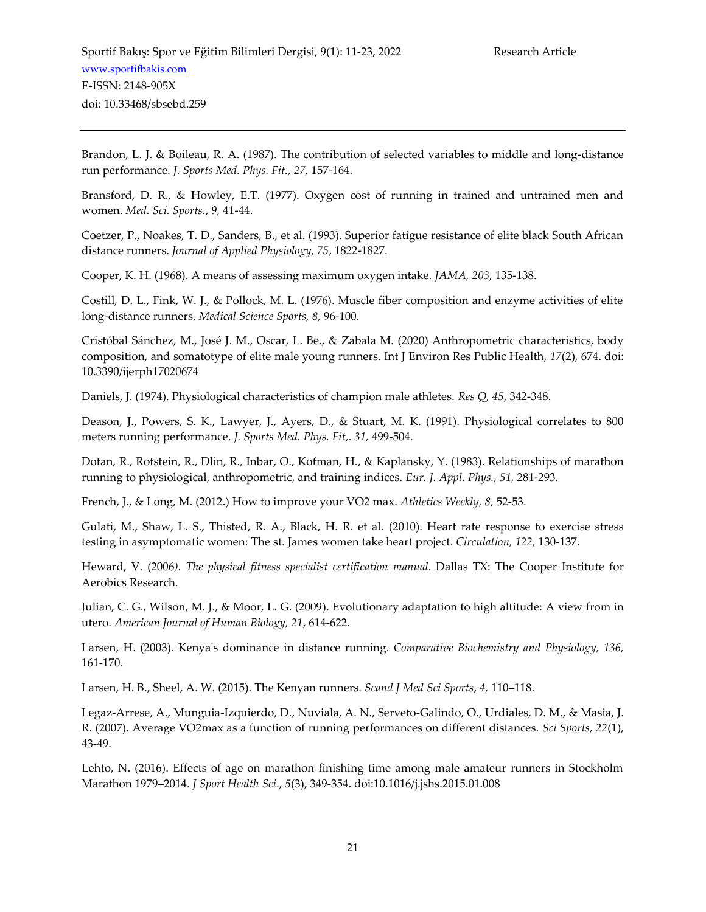Brandon, L. J. & Boileau, R. A. (1987). The contribution of selected variables to middle and long-distance run performance. *J. Sports Med. Phys. Fit., 27,* 157-164.

Bransford, D. R., & Howley, E.T. (1977). Oxygen cost of running in trained and untrained men and women. *Med. Sci. Sports*., *9,* 41-44.

Coetzer, P., Noakes, T. D., Sanders, B., et al. (1993). Superior fatigue resistance of elite black South African distance runners. *Journal of Applied Physiology, 75*, 1822-1827.

Cooper, K. H. (1968). A means of assessing maximum oxygen intake. *JAMA, 203,* 135-138.

Costill, D. L., Fink, W. J., & Pollock, M. L. (1976). Muscle fiber composition and enzyme activities of elite long-distance runners. *Medical Science Sports, 8,* 96-100.

Cristóbal Sánchez, M., José J. M., Oscar, L. Be., & Zabala M. (2020) Anthropometric characteristics, body composition, and somatotype of elite male young runners. Int J Environ Res Public Health, *17*(2), 674. doi: 10.3390/ijerph17020674

Daniels, J. (1974). Physiological characteristics of champion male athletes. *Res Q, 45*, 342-348.

Deason, J., Powers, S. K., Lawyer, J., Ayers, D., & Stuart, M. K. (1991). Physiological correlates to 800 meters running performance. *J. Sports Med. Phys. Fit,. 31,* 499-504.

Dotan, R., Rotstein, R., Dlin, R., Inbar, O., Kofman, H., & Kaplansky, Y. (1983). Relationships of marathon running to physiological, anthropometric, and training indices. *Eur. J. Appl. Phys., 51,* 281-293.

French, J., & Long, M. (2012.) How to improve your VO2 max. *Athletics Weekly, 8,* 52-53.

Gulati, M., Shaw, L. S., Thisted, R. A., Black, H. R. et al. (2010). Heart rate response to exercise stress testing in asymptomatic women: The st. James women take heart project. *Circulation, 122,* 130-137.

Heward, V. (2006*). The physical fitness specialist certification manual*. Dallas TX: The Cooper Institute for Aerobics Research.

Julian, C. G., Wilson, M. J., & Moor, L. G. (2009). Evolutionary adaptation to high altitude: A view from in utero. *American Journal of Human Biology, 21*, 614-622.

Larsen, H. (2003). Kenya's dominance in distance running. *Comparative Biochemistry and Physiology, 136,* 161-170.

Larsen, H. B., Sheel, A. W. (2015). The Kenyan runners. *Scand J Med Sci Sports*, *4,* 110–118.

Legaz-Arrese, A., Munguia-Izquierdo, D., Nuviala, A. N., Serveto-Galindo, O., Urdiales, D. M., & Masia, J. R. (2007). Average VO2max as a function of running performances on different distances. *Sci Sports, 22*(1), 43-49.

Lehto, N. (2016). Effects of age on marathon finishing time among male amateur runners in Stockholm Marathon 1979–2014. *J Sport Health Sci*., *5*(3), 349-354. doi:10.1016/j.jshs.2015.01.008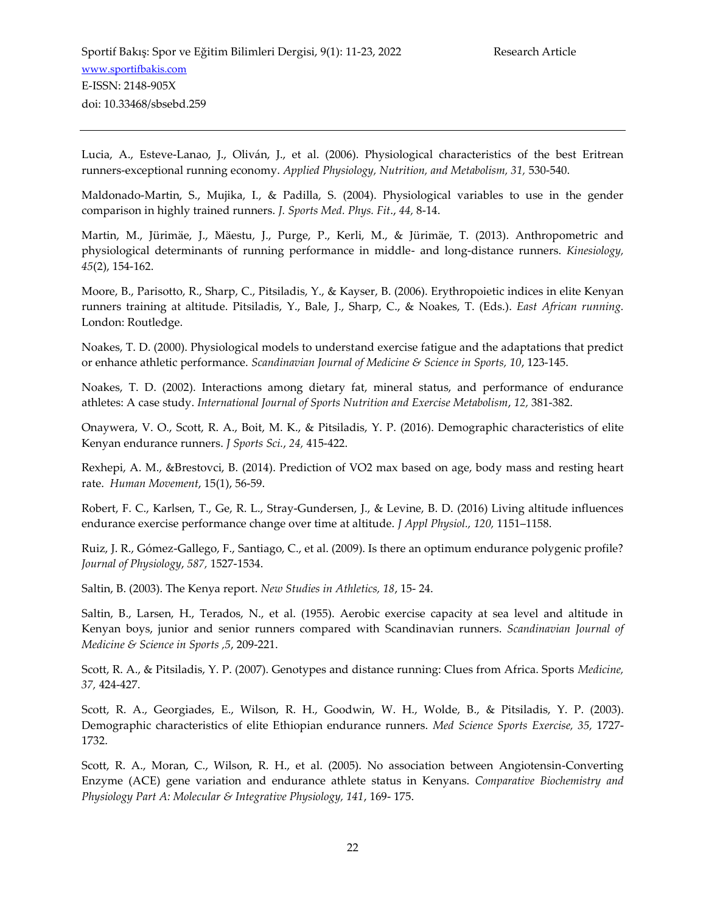Lucia, A., Esteve-Lanao, J., Oliván, J., et al. (2006). Physiological characteristics of the best Eritrean runners-exceptional running economy. *Applied Physiology, Nutrition, and Metabolism, 31,* 530-540.

Maldonado-Martin, S., Mujika, I., & Padilla, S. (2004). Physiological variables to use in the gender comparison in highly trained runners. *J. Sports Med. Phys. Fit*., *44,* 8-14.

Martin, M., Jürimäe, J., Mäestu, J., Purge, P., Kerli, M., & Jürimäe, T. (2013). Anthropometric and physiological determinants of running performance in middle- and long-distance runners. *Kinesiology, 45*(2), 154-162.

Moore, B., Parisotto, R., Sharp, C., Pitsiladis, Y., & Kayser, B. (2006). Erythropoietic indices in elite Kenyan runners training at altitude. Pitsiladis, Y., Bale, J., Sharp, C., & Noakes, T. (Eds.). *East African running.*  London: Routledge.

Noakes, T. D. (2000). Physiological models to understand exercise fatigue and the adaptations that predict or enhance athletic performance. *Scandinavian Journal of Medicine & Science in Sports, 10*, 123-145.

Noakes, T. D. (2002). Interactions among dietary fat, mineral status, and performance of endurance athletes: A case study. *International Journal of Sports Nutrition and Exercise Metabolism*, *12,* 381-382.

Onaywera, V. O., Scott, R. A., Boit, M. K., & Pitsiladis, Y. P. (2016). Demographic characteristics of elite Kenyan endurance runners. *J Sports Sci.*, *24,* 415-422.

Rexhepi, A. M., &Brestovci, B. (2014). Prediction of VO2 max based on age, body mass and resting heart rate. *Human Movement*, 15(1), 56-59.

Robert, F. C., Karlsen, T., Ge, R. L., Stray-Gundersen, J., & Levine, B. D. (2016) Living altitude influences endurance exercise performance change over time at altitude. *J Appl Physiol., 120,* 1151–1158.

Ruiz, J. R., Gómez-Gallego, F., Santiago, C., et al. (2009). Is there an optimum endurance polygenic profile? *Journal of Physiology*, *587,* 1527-1534.

Saltin, B. (2003). The Kenya report. *New Studies in Athletics, 18*, 15- 24.

Saltin, B., Larsen, H., Terados, N., et al. (1955). Aerobic exercise capacity at sea level and altitude in Kenyan boys, junior and senior runners compared with Scandinavian runners. *Scandinavian Journal of Medicine & Science in Sports ,5*, 209-221.

Scott, R. A., & Pitsiladis, Y. P. (2007). Genotypes and distance running: Clues from Africa. Sports *Medicine, 37,* 424-427.

Scott, R. A., Georgiades, E., Wilson, R. H., Goodwin, W. H., Wolde, B., & Pitsiladis, Y. P. (2003). Demographic characteristics of elite Ethiopian endurance runners. *Med Science Sports Exercise, 35,* 1727- 1732.

Scott, R. A., Moran, C., Wilson, R. H., et al. (2005). No association between Angiotensin-Converting Enzyme (ACE) gene variation and endurance athlete status in Kenyans. *Comparative Biochemistry and Physiology Part A: Molecular & Integrative Physiology, 141*, 169- 175.